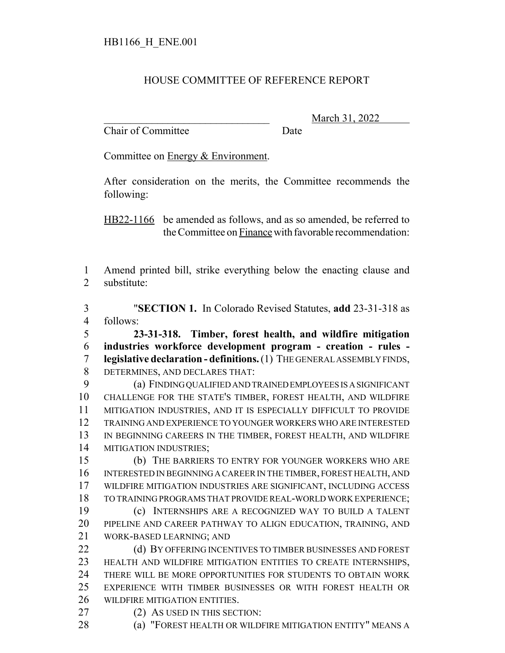## HOUSE COMMITTEE OF REFERENCE REPORT

Chair of Committee Date

\_\_\_\_\_\_\_\_\_\_\_\_\_\_\_\_\_\_\_\_\_\_\_\_\_\_\_\_\_\_\_ March 31, 2022

Committee on Energy & Environment.

After consideration on the merits, the Committee recommends the following:

HB22-1166 be amended as follows, and as so amended, be referred to the Committee on Finance with favorable recommendation:

 Amend printed bill, strike everything below the enacting clause and substitute:

 "**SECTION 1.** In Colorado Revised Statutes, **add** 23-31-318 as follows:

 **23-31-318. Timber, forest health, and wildfire mitigation industries workforce development program - creation - rules - legislative declaration - definitions.** (1) THE GENERAL ASSEMBLY FINDS, DETERMINES, AND DECLARES THAT:

 (a) FINDING QUALIFIED AND TRAINED EMPLOYEES IS A SIGNIFICANT CHALLENGE FOR THE STATE'S TIMBER, FOREST HEALTH, AND WILDFIRE MITIGATION INDUSTRIES, AND IT IS ESPECIALLY DIFFICULT TO PROVIDE TRAINING AND EXPERIENCE TO YOUNGER WORKERS WHO ARE INTERESTED IN BEGINNING CAREERS IN THE TIMBER, FOREST HEALTH, AND WILDFIRE MITIGATION INDUSTRIES;

 (b) THE BARRIERS TO ENTRY FOR YOUNGER WORKERS WHO ARE INTERESTED IN BEGINNING A CAREER IN THE TIMBER, FOREST HEALTH, AND WILDFIRE MITIGATION INDUSTRIES ARE SIGNIFICANT, INCLUDING ACCESS TO TRAINING PROGRAMS THAT PROVIDE REAL-WORLD WORK EXPERIENCE; (c) INTERNSHIPS ARE A RECOGNIZED WAY TO BUILD A TALENT PIPELINE AND CAREER PATHWAY TO ALIGN EDUCATION, TRAINING, AND WORK-BASED LEARNING; AND

22 (d) BY OFFERING INCENTIVES TO TIMBER BUSINESSES AND FOREST HEALTH AND WILDFIRE MITIGATION ENTITIES TO CREATE INTERNSHIPS, THERE WILL BE MORE OPPORTUNITIES FOR STUDENTS TO OBTAIN WORK EXPERIENCE WITH TIMBER BUSINESSES OR WITH FOREST HEALTH OR WILDFIRE MITIGATION ENTITIES.

- 27 (2) AS USED IN THIS SECTION:
- **(a) "FOREST HEALTH OR WILDFIRE MITIGATION ENTITY" MEANS A**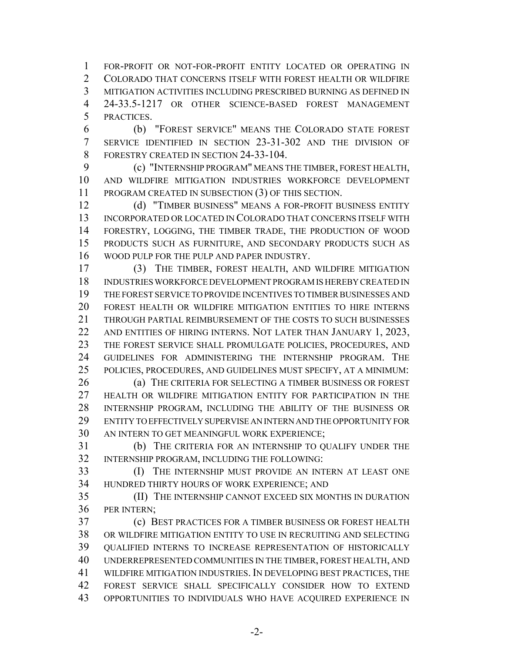FOR-PROFIT OR NOT-FOR-PROFIT ENTITY LOCATED OR OPERATING IN COLORADO THAT CONCERNS ITSELF WITH FOREST HEALTH OR WILDFIRE MITIGATION ACTIVITIES INCLUDING PRESCRIBED BURNING AS DEFINED IN 24-33.5-1217 OR OTHER SCIENCE-BASED FOREST MANAGEMENT PRACTICES.

 (b) "FOREST SERVICE" MEANS THE COLORADO STATE FOREST SERVICE IDENTIFIED IN SECTION 23-31-302 AND THE DIVISION OF 8 FORESTRY CREATED IN SECTION 24-33-104.

 (c) "INTERNSHIP PROGRAM" MEANS THE TIMBER, FOREST HEALTH, AND WILDFIRE MITIGATION INDUSTRIES WORKFORCE DEVELOPMENT PROGRAM CREATED IN SUBSECTION (3) OF THIS SECTION.

 (d) "TIMBER BUSINESS" MEANS A FOR-PROFIT BUSINESS ENTITY INCORPORATED OR LOCATED IN COLORADO THAT CONCERNS ITSELF WITH FORESTRY, LOGGING, THE TIMBER TRADE, THE PRODUCTION OF WOOD PRODUCTS SUCH AS FURNITURE, AND SECONDARY PRODUCTS SUCH AS WOOD PULP FOR THE PULP AND PAPER INDUSTRY.

 (3) THE TIMBER, FOREST HEALTH, AND WILDFIRE MITIGATION INDUSTRIES WORKFORCE DEVELOPMENT PROGRAM IS HEREBY CREATED IN THE FOREST SERVICE TO PROVIDE INCENTIVES TO TIMBER BUSINESSES AND FOREST HEALTH OR WILDFIRE MITIGATION ENTITIES TO HIRE INTERNS THROUGH PARTIAL REIMBURSEMENT OF THE COSTS TO SUCH BUSINESSES 22 AND ENTITIES OF HIRING INTERNS. NOT LATER THAN JANUARY 1, 2023, THE FOREST SERVICE SHALL PROMULGATE POLICIES, PROCEDURES, AND GUIDELINES FOR ADMINISTERING THE INTERNSHIP PROGRAM. THE POLICIES, PROCEDURES, AND GUIDELINES MUST SPECIFY, AT A MINIMUM: (a) THE CRITERIA FOR SELECTING A TIMBER BUSINESS OR FOREST HEALTH OR WILDFIRE MITIGATION ENTITY FOR PARTICIPATION IN THE INTERNSHIP PROGRAM, INCLUDING THE ABILITY OF THE BUSINESS OR

 ENTITY TO EFFECTIVELY SUPERVISE AN INTERN AND THE OPPORTUNITY FOR AN INTERN TO GET MEANINGFUL WORK EXPERIENCE;

 (b) THE CRITERIA FOR AN INTERNSHIP TO QUALIFY UNDER THE INTERNSHIP PROGRAM, INCLUDING THE FOLLOWING:

 (I) THE INTERNSHIP MUST PROVIDE AN INTERN AT LEAST ONE HUNDRED THIRTY HOURS OF WORK EXPERIENCE; AND

 (II) THE INTERNSHIP CANNOT EXCEED SIX MONTHS IN DURATION PER INTERN;

 (c) BEST PRACTICES FOR A TIMBER BUSINESS OR FOREST HEALTH OR WILDFIRE MITIGATION ENTITY TO USE IN RECRUITING AND SELECTING QUALIFIED INTERNS TO INCREASE REPRESENTATION OF HISTORICALLY UNDERREPRESENTED COMMUNITIES IN THE TIMBER, FOREST HEALTH, AND WILDFIRE MITIGATION INDUSTRIES. IN DEVELOPING BEST PRACTICES, THE FOREST SERVICE SHALL SPECIFICALLY CONSIDER HOW TO EXTEND OPPORTUNITIES TO INDIVIDUALS WHO HAVE ACQUIRED EXPERIENCE IN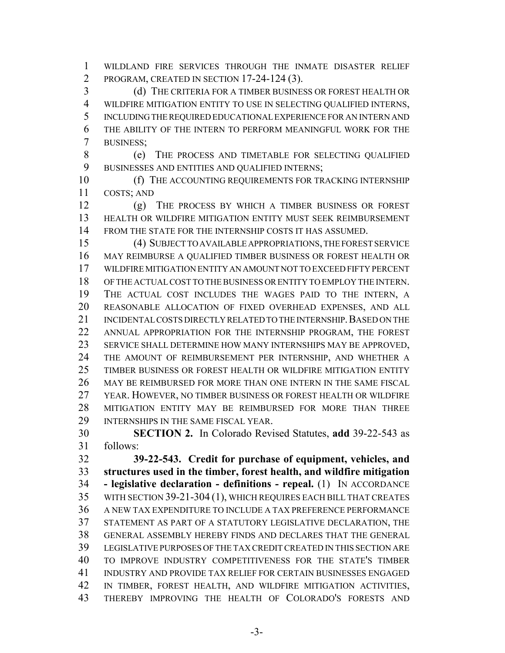WILDLAND FIRE SERVICES THROUGH THE INMATE DISASTER RELIEF PROGRAM, CREATED IN SECTION 17-24-124 (3).

 (d) THE CRITERIA FOR A TIMBER BUSINESS OR FOREST HEALTH OR WILDFIRE MITIGATION ENTITY TO USE IN SELECTING QUALIFIED INTERNS, INCLUDING THE REQUIRED EDUCATIONAL EXPERIENCE FOR AN INTERN AND THE ABILITY OF THE INTERN TO PERFORM MEANINGFUL WORK FOR THE BUSINESS;

 (e) THE PROCESS AND TIMETABLE FOR SELECTING QUALIFIED BUSINESSES AND ENTITIES AND QUALIFIED INTERNS;

**(f)** THE ACCOUNTING REQUIREMENTS FOR TRACKING INTERNSHIP COSTS; AND

 (g) THE PROCESS BY WHICH A TIMBER BUSINESS OR FOREST HEALTH OR WILDFIRE MITIGATION ENTITY MUST SEEK REIMBURSEMENT FROM THE STATE FOR THE INTERNSHIP COSTS IT HAS ASSUMED.

 (4) SUBJECT TO AVAILABLE APPROPRIATIONS, THE FOREST SERVICE MAY REIMBURSE A QUALIFIED TIMBER BUSINESS OR FOREST HEALTH OR WILDFIRE MITIGATION ENTITY AN AMOUNT NOT TO EXCEED FIFTY PERCENT OF THE ACTUAL COST TO THE BUSINESS OR ENTITY TO EMPLOY THE INTERN. THE ACTUAL COST INCLUDES THE WAGES PAID TO THE INTERN, A REASONABLE ALLOCATION OF FIXED OVERHEAD EXPENSES, AND ALL 21 INCIDENTAL COSTS DIRECTLY RELATED TO THE INTERNSHIP. BASED ON THE ANNUAL APPROPRIATION FOR THE INTERNSHIP PROGRAM, THE FOREST SERVICE SHALL DETERMINE HOW MANY INTERNSHIPS MAY BE APPROVED, THE AMOUNT OF REIMBURSEMENT PER INTERNSHIP, AND WHETHER A TIMBER BUSINESS OR FOREST HEALTH OR WILDFIRE MITIGATION ENTITY MAY BE REIMBURSED FOR MORE THAN ONE INTERN IN THE SAME FISCAL YEAR. HOWEVER, NO TIMBER BUSINESS OR FOREST HEALTH OR WILDFIRE MITIGATION ENTITY MAY BE REIMBURSED FOR MORE THAN THREE INTERNSHIPS IN THE SAME FISCAL YEAR.

 **SECTION 2.** In Colorado Revised Statutes, **add** 39-22-543 as follows:

 **39-22-543. Credit for purchase of equipment, vehicles, and structures used in the timber, forest health, and wildfire mitigation - legislative declaration - definitions - repeal.** (1) IN ACCORDANCE WITH SECTION 39-21-304 (1), WHICH REQUIRES EACH BILL THAT CREATES A NEW TAX EXPENDITURE TO INCLUDE A TAX PREFERENCE PERFORMANCE STATEMENT AS PART OF A STATUTORY LEGISLATIVE DECLARATION, THE GENERAL ASSEMBLY HEREBY FINDS AND DECLARES THAT THE GENERAL LEGISLATIVE PURPOSES OF THE TAX CREDIT CREATED IN THIS SECTION ARE TO IMPROVE INDUSTRY COMPETITIVENESS FOR THE STATE'S TIMBER INDUSTRY AND PROVIDE TAX RELIEF FOR CERTAIN BUSINESSES ENGAGED IN TIMBER, FOREST HEALTH, AND WILDFIRE MITIGATION ACTIVITIES, THEREBY IMPROVING THE HEALTH OF COLORADO'S FORESTS AND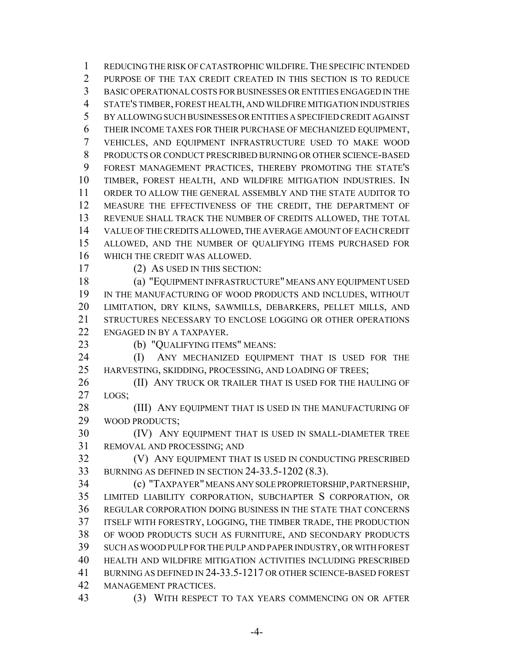REDUCING THE RISK OF CATASTROPHIC WILDFIRE.THE SPECIFIC INTENDED PURPOSE OF THE TAX CREDIT CREATED IN THIS SECTION IS TO REDUCE BASIC OPERATIONAL COSTS FOR BUSINESSES OR ENTITIES ENGAGED IN THE STATE'S TIMBER, FOREST HEALTH, AND WILDFIRE MITIGATION INDUSTRIES BY ALLOWING SUCH BUSINESSES OR ENTITIES A SPECIFIED CREDIT AGAINST THEIR INCOME TAXES FOR THEIR PURCHASE OF MECHANIZED EQUIPMENT, VEHICLES, AND EQUIPMENT INFRASTRUCTURE USED TO MAKE WOOD PRODUCTS OR CONDUCT PRESCRIBED BURNING OR OTHER SCIENCE-BASED FOREST MANAGEMENT PRACTICES, THEREBY PROMOTING THE STATE'S TIMBER, FOREST HEALTH, AND WILDFIRE MITIGATION INDUSTRIES. IN ORDER TO ALLOW THE GENERAL ASSEMBLY AND THE STATE AUDITOR TO MEASURE THE EFFECTIVENESS OF THE CREDIT, THE DEPARTMENT OF REVENUE SHALL TRACK THE NUMBER OF CREDITS ALLOWED, THE TOTAL VALUE OF THE CREDITS ALLOWED, THE AVERAGE AMOUNT OF EACH CREDIT ALLOWED, AND THE NUMBER OF QUALIFYING ITEMS PURCHASED FOR WHICH THE CREDIT WAS ALLOWED.

(2) AS USED IN THIS SECTION:

 (a) "EQUIPMENT INFRASTRUCTURE" MEANS ANY EQUIPMENT USED IN THE MANUFACTURING OF WOOD PRODUCTS AND INCLUDES, WITHOUT LIMITATION, DRY KILNS, SAWMILLS, DEBARKERS, PELLET MILLS, AND STRUCTURES NECESSARY TO ENCLOSE LOGGING OR OTHER OPERATIONS ENGAGED IN BY A TAXPAYER.

(b) "QUALIFYING ITEMS" MEANS:

**(I)** ANY MECHANIZED EQUIPMENT THAT IS USED FOR THE 25 HARVESTING, SKIDDING, PROCESSING, AND LOADING OF TREES;

**(II) ANY TRUCK OR TRAILER THAT IS USED FOR THE HAULING OF** LOGS;

28 (III) ANY EQUIPMENT THAT IS USED IN THE MANUFACTURING OF WOOD PRODUCTS;

 (IV) ANY EQUIPMENT THAT IS USED IN SMALL-DIAMETER TREE REMOVAL AND PROCESSING; AND

 (V) ANY EQUIPMENT THAT IS USED IN CONDUCTING PRESCRIBED BURNING AS DEFINED IN SECTION 24-33.5-1202 (8.3).

 (c) "TAXPAYER" MEANS ANY SOLE PROPRIETORSHIP, PARTNERSHIP, LIMITED LIABILITY CORPORATION, SUBCHAPTER S CORPORATION, OR REGULAR CORPORATION DOING BUSINESS IN THE STATE THAT CONCERNS ITSELF WITH FORESTRY, LOGGING, THE TIMBER TRADE, THE PRODUCTION OF WOOD PRODUCTS SUCH AS FURNITURE, AND SECONDARY PRODUCTS SUCH AS WOOD PULP FOR THE PULP AND PAPER INDUSTRY, OR WITH FOREST HEALTH AND WILDFIRE MITIGATION ACTIVITIES INCLUDING PRESCRIBED BURNING AS DEFINED IN 24-33.5-1217 OR OTHER SCIENCE-BASED FOREST MANAGEMENT PRACTICES.

(3) WITH RESPECT TO TAX YEARS COMMENCING ON OR AFTER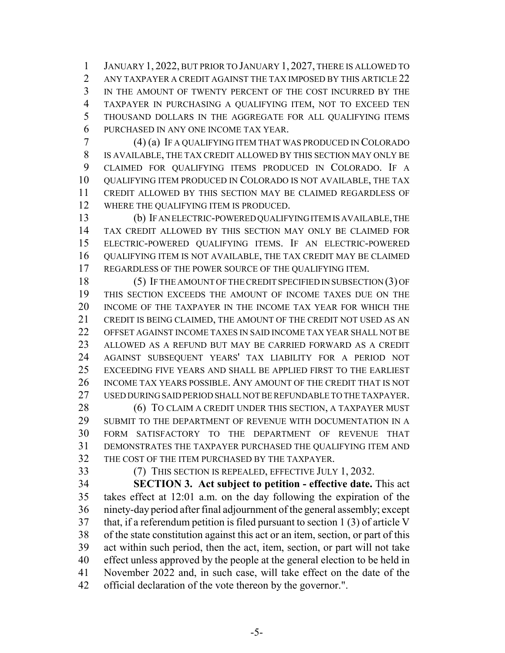JANUARY 1, 2022, BUT PRIOR TO JANUARY 1, 2027, THERE IS ALLOWED TO 2 ANY TAXPAYER A CREDIT AGAINST THE TAX IMPOSED BY THIS ARTICLE 22 IN THE AMOUNT OF TWENTY PERCENT OF THE COST INCURRED BY THE TAXPAYER IN PURCHASING A QUALIFYING ITEM, NOT TO EXCEED TEN THOUSAND DOLLARS IN THE AGGREGATE FOR ALL QUALIFYING ITEMS PURCHASED IN ANY ONE INCOME TAX YEAR.

 (4) (a) IF A QUALIFYING ITEM THAT WAS PRODUCED IN COLORADO IS AVAILABLE, THE TAX CREDIT ALLOWED BY THIS SECTION MAY ONLY BE CLAIMED FOR QUALIFYING ITEMS PRODUCED IN COLORADO. IF A QUALIFYING ITEM PRODUCED IN COLORADO IS NOT AVAILABLE, THE TAX CREDIT ALLOWED BY THIS SECTION MAY BE CLAIMED REGARDLESS OF WHERE THE QUALIFYING ITEM IS PRODUCED.

 (b) IF AN ELECTRIC-POWERED QUALIFYING ITEM IS AVAILABLE, THE TAX CREDIT ALLOWED BY THIS SECTION MAY ONLY BE CLAIMED FOR ELECTRIC-POWERED QUALIFYING ITEMS. IF AN ELECTRIC-POWERED QUALIFYING ITEM IS NOT AVAILABLE, THE TAX CREDIT MAY BE CLAIMED REGARDLESS OF THE POWER SOURCE OF THE QUALIFYING ITEM.

 (5) IF THE AMOUNT OF THE CREDIT SPECIFIED IN SUBSECTION (3) OF THIS SECTION EXCEEDS THE AMOUNT OF INCOME TAXES DUE ON THE INCOME OF THE TAXPAYER IN THE INCOME TAX YEAR FOR WHICH THE CREDIT IS BEING CLAIMED, THE AMOUNT OF THE CREDIT NOT USED AS AN OFFSET AGAINST INCOME TAXES IN SAID INCOME TAX YEAR SHALL NOT BE ALLOWED AS A REFUND BUT MAY BE CARRIED FORWARD AS A CREDIT AGAINST SUBSEQUENT YEARS' TAX LIABILITY FOR A PERIOD NOT EXCEEDING FIVE YEARS AND SHALL BE APPLIED FIRST TO THE EARLIEST INCOME TAX YEARS POSSIBLE. ANY AMOUNT OF THE CREDIT THAT IS NOT USED DURING SAID PERIOD SHALL NOT BE REFUNDABLE TO THE TAXPAYER.

**(6) TO CLAIM A CREDIT UNDER THIS SECTION, A TAXPAYER MUST** 29 SUBMIT TO THE DEPARTMENT OF REVENUE WITH DOCUMENTATION IN A FORM SATISFACTORY TO THE DEPARTMENT OF REVENUE THAT DEMONSTRATES THE TAXPAYER PURCHASED THE QUALIFYING ITEM AND THE COST OF THE ITEM PURCHASED BY THE TAXPAYER.

(7) THIS SECTION IS REPEALED, EFFECTIVE JULY 1, 2032.

 **SECTION 3. Act subject to petition - effective date.** This act takes effect at 12:01 a.m. on the day following the expiration of the ninety-day period after final adjournment of the general assembly; except that, if a referendum petition is filed pursuant to section 1 (3) of article V of the state constitution against this act or an item, section, or part of this act within such period, then the act, item, section, or part will not take effect unless approved by the people at the general election to be held in November 2022 and, in such case, will take effect on the date of the official declaration of the vote thereon by the governor.".